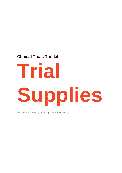# **Clinical Trials Toolkit**

# **Trial Supplies**

Updated March 2018 by Oliver Gupta (MODEPHARMA)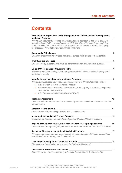# **Contents**

| Risk-Adapted Approaches to the Management of Clinical Trials of Investigational |  |
|---------------------------------------------------------------------------------|--|
| <b>Medicinal Products</b>                                                       |  |

*This MHRA document describes a risk-proportionate approach in the UK in applying the principles of GCP to the various types of clinical trials of investigational medicinal products, within the context of the current regulatory framework in the EU, to simplify the processes for initiating and conducting such trials*

| <b>Common IMP Challenges</b>                                                                                        |  |
|---------------------------------------------------------------------------------------------------------------------|--|
| Overview of common IMP-related challenges across initial stages of a clinical trial                                 |  |
| <b>Trial Supplies Checklist</b>                                                                                     |  |
| Checklist of key questions that must be considered when arranging trial supplies                                    |  |
| EU and UK Regulations Governing IMPs                                                                                |  |
| This section outlines the legislation that governs clinical trials as well as investigational<br>medicinal products |  |

#### **[Manufacture of Investigational Medicinal Products](#page-11-0) \_\_\_\_\_\_\_\_\_\_\_\_\_\_\_\_\_\_\_\_\_\_\_\_\_\_\_\_9**

*This section discusses key considerations concerning IMP manufacturing such as:*

- *Is it a Clinical Trial of a Medicinal Product?*
- *Is the Product an Investigational Medicinal Product (IMP) or a Non-Investigational Medicinal Product (NIMP)?*
- *IMPs Require Manufacturing Under MIA(IMP)*

|                                                                                                                                            | 12 |
|--------------------------------------------------------------------------------------------------------------------------------------------|----|
| Discussion on the requirements of Technical Agreements between the Sponsor and IMP<br>manufacturers                                        |    |
|                                                                                                                                            | 13 |
| Discussion on stability testing of IMPs used in clinical trials                                                                            |    |
|                                                                                                                                            | 15 |
| Discussion on the requirements of Investigational Medicinal Product Dossiers                                                               |    |
| Imports of IMPs from Non-EU/European Economic Area (EEA) Countries _________16                                                             |    |
| Discussion on the regulatory requirements for medication sourced from outside the EEA                                                      |    |
| Advanced Therapy Investigational Medicinal Products ____________________________                                                           | 17 |
| This guidance document addresses specific issues and responsibilities for clinical trials<br>involving advanced therapy medicinal products |    |
| Labelling of Investigational Medicinal Products ________________________________                                                           | 18 |
| Discussion on the labelling requirements for IMPs used in clinical                                                                         |    |
|                                                                                                                                            | 23 |
| Checklist for documents concerning IMPs to be included in the Trial Master File                                                            |    |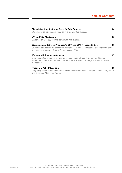## **Table of Contents**

| Checklist of Manufacturing Costs for Trial Supplies ____________________________                                                                                                          | 24 |
|-------------------------------------------------------------------------------------------------------------------------------------------------------------------------------------------|----|
| Checklist of common costs involved in arranging trial supplies                                                                                                                            |    |
|                                                                                                                                                                                           | 25 |
| Guidance on VAT applicability for clinical trial supplies                                                                                                                                 |    |
| Distinguishing Between Pharmacy's GCP and GMP Responsibilities ________                                                                                                                   | 26 |
| Guidance addressing the distinction between GCP and GMP responsibilities that must be<br>undertaken by pharmacies involved in a clinical trial                                            |    |
| Working with Pharmacy Services ___________________________                                                                                                                                | 27 |
| Various practice guidance on pharmacy services for clinical trials intended to help<br>researchers work smoothly with pharmacy departments to manage on-site clinical trial<br>medication |    |
|                                                                                                                                                                                           | 28 |
| Frequently asked questions about IMPs as answered by the European Commission, MHRA                                                                                                        |    |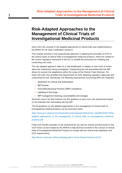# <span id="page-3-0"></span>**Risk-Adapted Approaches to the Management of Clinical Trials of Investigational Medicinal Products**

Since 2011 the concept of risk-adapted approaches to clinical trials was implemented by the MHRA for UK trials ('notification scheme').

This scheme presents a risk-proportionate approach in applying the principles of GCP to the various types of clinical trials of investigational medicinal products, within the context of the current regulatory framework in the EU, to simplify the processes for initiating and conducting such trials.

The risk-adapted approach relies on a risk-stratification in relation to how much is known about the medicine(s) being investigated. Categorising the risk associated with the IMP allows for several risk adaptations within the scope of the Clinical Trials Directive. For lower-risk trials, this simplifies the requirements for both obtaining regulatory approvals and conducting the trial. Specifically, the following requirements concerning IMPs are impacted:

- Application for clinical trial authorisation
- IMP Dossier
- Good Manufacturing Practice (GMP) compliance
- Labelling of trial drugs
- IMP management (tracking, accountability and storage)

Sponsors may in the first instance use this guidance to carry out a risk assessment based on the potential risks associated with the IMP.

The full guidance on risk-adapted approaches to the management of clinical trials of investigational medical products can be accessed online:

*[https://www.gov.uk/government/uploads/system/uploads/attachment\\_data/file/343677/Risk](https://www.gov.uk/government/uploads/system/uploads/attachment_data/file/343677/Risk-adapted_approaches_to_the_management_of_clinical_trials_of_investigational_medicinal_products.pdf)[adapted\\_approaches\\_to\\_the\\_management\\_of\\_clinical\\_trials\\_of\\_investigational\\_medicinal\\_](https://www.gov.uk/government/uploads/system/uploads/attachment_data/file/343677/Risk-adapted_approaches_to_the_management_of_clinical_trials_of_investigational_medicinal_products.pdf) [products.pdf](https://www.gov.uk/government/uploads/system/uploads/attachment_data/file/343677/Risk-adapted_approaches_to_the_management_of_clinical_trials_of_investigational_medicinal_products.pdf)*

FAQs and real life examples of risk assessments can also be viewed and discussed on the GCP Forum (a tool created by the MHRA to help all those involved in the conduct of clinical trials of Investigational Medicinal Products to comply with the clinical trials legislation and GCP requirements):

*[http://forums.mhra.gov.uk/forumdisplay.php?1-Good-Clinical-Practice-\(GCP\)](http://forums.mhra.gov.uk/forumdisplay.php?1-Good-Clinical-Practice-(GCP))*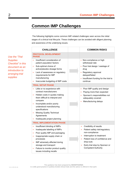# <span id="page-4-0"></span>**Common IMP Challenges**

The following highlights some common IMP-related challenges seen across the initial stages of a clinical trial lifecycle. These challenges can be avoided with diligent planning and awareness of the underlying issues.

**CHALLENGE COMMON RISKS PROTOCOL DEVELOPMENT PHASE** • Insufficient consideration of patient population factors • Sub-optimal choice of active/placebo dosage forms • Lack of awareness on regulatory requirements for IMP manufacturing • Inaccurate budgeting of IMP costs • Non-compliance or high withdrawal rate • Poor trial design / wastage of drug • Regulatory approval delayed/failed • Insufficient funding for the trial to continue **TRIAL SETUP PHASE** • Little or no experience with contract manufacturers • Hidden costs in quotes making them difficult to interpret and compare • Incomplete and/or poorly understood manufacturing specifications • Missing Quality Technical Agreements • Inadequate project planning Poor IMP quality and design • Paying more than expected • Sponsor's responsibilities not adequately covered • Manufacturing delays **TRIAL IMPLEMENTATION PHASE** • Insufficient blinding of IMPs • Inadequate labelling of IMPs • Poor quality IMP and packaging • Inappropriate supply chain or processes • IMP adversely affected during storage and transport • Failure to monitor product quality issues including recalls Credibility of results Patient safety risk/regulatory non-compliance • Interruption to treatment Patient loss of confidence and drop-outs • Early trial stop by Sponsor or Competent Authority

*Use the "Trial Supplies Checklist" in this document as an introduction to arranging trial supplies*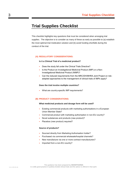# <span id="page-5-0"></span>**Trial Supplies Checklist**

This checklist highlights key questions that must be considered when arranging trial supplies. The objective is to consider as many of these as early as possible to (a) establish the most optimal trial medication solution and (b) avoid funding shortfalls during the conduct of the trial.

#### **(A) REGULATORY CONSIDERATIONS:**

#### **Is it a Clinical Trial of a medicinal product?**

- Does the study fall under the Clinical Trials Directive?
- Is the Product an Investigational Medicinal Product (IMP) or a Non-Investigational Medicinal Product (NIMP)?
- Can the reduced requirements from the MRC/DH/MHRA Joint Project on riskadapted approaches to the management of clinical trials of IMPs apply?

#### **Does the trial involve multiple countries?**

• What are country-specific IMP requirements?

#### **(B) PRODUCT CONSIDERATIONS:**

#### **What medicinal products and dosage form will be used?**

- Existing commercial products with marketing authorisations in a European Union Member State?
- Commercial product with marketing authorisation in non-EU country?
- Novel substances and products (new product)?
- Placebos (new product) required?

#### **Source of products?**

- Sourced directly from Marketing Authorisation holder?
- Purchased via commercial wholesale/hospital channels?
- New manufacture via one or more contract manufacturers?
- Imported from a non-EU country?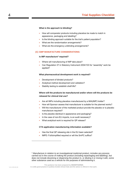#### **What is the approach to blinding?**

- How will comparator products including placebos be made to match in appearance, packaging and labelling?
- Is the blinding approach suitable for the trial's patient population?
- What are the randomisation arrangements?
- What are the emergency unblinding arrangements?

#### **(C) GMP MANUFACTURE CONSIDERATIONS:**

#### **Is IMP manufacture<sup>1</sup> required?**

- Where will manufacturing of IMP take place?
- Can Regulation 37 in Statutory Instrument 2004/103 for "assembly" work be applied?

#### **What pharmaceutical development work is required?**

- Development of blinded products?
- Analytical method development and validation?
- Stability testing to establish shelf-life?

## **Where will the products be manufactured and/or where will the products be released for clinical trial use?**

- Are all IMPs including placebos manufactured by a MIA(IMP) holder?
- How will Sponsor assess that manufacturer is suitable for the planned works?
- Will the manufacturer of the marketed product provide the placebo or is placebo manufacture required?
- Is the placebo identical in appearance and packaging?
- In the case of non-EU imports, is an audit necessary?
- What analytical work is required for QP release?

#### **CTA application manufacturing information available?**

- Has the final QP releasing site in the EU been selected?
- IMPD: Full/simplified required or will the SmPC suffice?

-

<sup>1</sup> Manufacture in relation to an investigational medicinal product, includes any process carried out in the course of making the product (including repackaging and labelling), but does not include dissolving or dispersing the product in, or diluting it or mixing it with, some other substance used as a vehicle for the purposes of administering it.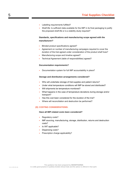- Labelling requirements fulfilled?
- Shelf-life: Is sufficient data available for the IMP in its final packaging to justify the proposed shelf-life or is a stability study required?

## **Standards, specifications and manufacturing scope agreed with the manufacturer?**

- Blinded product specifications agreed?
- Agreement on number of manufacturing campaigns required to cover the duration of the trial agreed under consideration of the product shelf lives?
- Manufacturing scope and timeline agreed?
- Technical Agreement (table of responsibilities) agreed?

#### **Documentation requirements?**

• Documentation system for full IMP accountability in place?

#### **Storage and distribution arrangements considered?**

- Who will undertake storage of trial supplies and patient returns?
- Under what temperature conditions will IMP be stored and distributed?
- Will shipments be temperature monitored?
- What happens in the case of temperature deviations during storage and/or transport?
- Has this cost been considered for the duration of the trial?
- Where will reconciliation and destruction be performed?

#### **(D) COSTING CONSIDERATIONS:**

#### **Have all IMP-related costs been considered?**

- Regulatory costs?
- IMP sourcing, manufacturing, storage, distribution, returns and destruction costs?
- Is VAT applicable?
- Dispensing costs?
- Prescription charge applicability?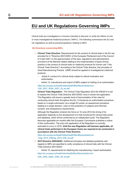## <span id="page-8-0"></span>**EU and UK Regulations Governing IMPs**

Clinical trials are investigations in humans intended to discover or verify the effects of one or more investigational medicinal products ("IMPs"). The following summarises the EU and UK regulations as well as practical guidance relating to IMPs:

#### **EU Directives concerning IMPs:**

- **Clinical Trials Directive:** Requirements for the conduct of clinical trials in the EU are provided for in "Directive 2001/20/EC of the European Parliament and of the Council of 4 April 2001 on the approximation of the laws, regulations and administrative provisions of the Member States relating to the implementation of good clinical practice in the conduct of clinical trials on medicinal products for human use" ("the Clinical Trials Directive"). According to the Clinical Trials directive, the principles of Good Manufacturing Practice (GMP) should be applied to investigational medicinal products:
	- Article 9: conduct of a clinical study subject to ethical evaluation and authorisation
	- Article 13: manufacture and import of IMPs subject to holding of an authorisation *[https://ec.europa.eu/health//sites/health/files/files/eudralex/vol-](https://ec.europa.eu/health/sites/health/files/files/eudralex/vol-1/dir_2001_20/dir_2001_20_en.pdf)*

## *[1/dir\\_2001\\_20/dir\\_2001\\_20\\_en.pdf](https://ec.europa.eu/health/sites/health/files/files/eudralex/vol-1/dir_2001_20/dir_2001_20_en.pdf)*

**Clinical Trials Regulation:** The Clinical Trials Regulation (EU) No 536/2014 is set to replace the Clinical Trials Directive 2001/20/EC once it comes into application. The Regulation will ensure a greater level of harmonisation of the rules for conducting clinical trials throughout the EU. It introduces an authorisation procedure based on a single submission via a single EU portal, an assessment procedure leading to a single decision, rules on the protection of subjects and informed consent, and transparency requirements.

Although the Regulation entered into force on 16 June 2014 the timing of its application depends on the development of a fully functional EU clinical trials portal and database, which will be confirmed by an independent audit. The Regulation becomes applicable six months after the European Commission publishes a notice of this confirmation. The entry into application of the Regulation is currently estimated to occur in 2019. **Until the new Regulation will become applicable, all clinical trials performed in the European Union are required to be conducted in accordance with the Clinical Trials Directive.** 

#### *[https://ec.europa.eu/health//sites/health/files/files/eudralex/vol-](https://ec.europa.eu/health/sites/health/files/files/eudralex/vol-1/reg_2014_536/reg_2014_536_en.pdf)[1/reg\\_2014\\_536/reg\\_2014\\_536\\_en.pdf](https://ec.europa.eu/health/sites/health/files/files/eudralex/vol-1/reg_2014_536/reg_2014_536_en.pdf)*

• **GCP Directive 2005/28/EC:** Additional principles and detailed guidelines with regards to IMPs are specified to verify compliance of clinical trials with the Clinical Trials Directive 2001/20/EC

Article 10: requirements for obtaining the manufacturing / import authorisation

*[https://ec.europa.eu/health/sites/health/files/files/eudralex/vol-](https://ec.europa.eu/health/sites/health/files/files/eudralex/vol-1/dir_2005_28/dir_2005_28_en.pdf)[1/dir\\_2005\\_28/dir\\_2005\\_28\\_en.pdf](https://ec.europa.eu/health/sites/health/files/files/eudralex/vol-1/dir_2005_28/dir_2005_28_en.pdf)*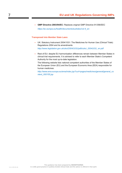• **GMP Directive 2003/94/EC:** Replaces original GMP Directive 91/356/EEC *[https://ec.europa.eu/health/documents/eudralex/vol-4\\_en](https://ec.europa.eu/health/documents/eudralex/vol-4_en)*

#### **Transposed into Member State Laws:**

- UK: Statutory Instrument 2004/1031: The Medicines for Human Use (Clinical Trials) Regulations 2004 and its amendments *[http://www.legislation.gov.uk/uksi/2004/1031/pdfs/uksi\\_20041031\\_en.pdf](http://www.legislation.gov.uk/uksi/2004/1031/pdfs/uksi_20041031_en.pdf)*
- Rest of EU: despite EU harmonisation differences remain between Member States in clinical trial requirements. It is advised to refer to each Member State's Competent Authority for the most up-to-date legislation.

The following website lists national competent authorities of the Member States of the European Union (EU) and the European Economic Area (EEA) responsible for human medicines:

*[http://www.ema.europa.eu/ema/index.jsp?curl=pages/medicines/general/general\\_co](http://www.ema.europa.eu/ema/index.jsp?curl=pages/medicines/general/general_content_000155.jsp) [ntent\\_000155.jsp](http://www.ema.europa.eu/ema/index.jsp?curl=pages/medicines/general/general_content_000155.jsp)*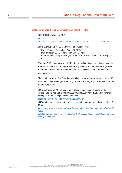#### **Detailed guidance on the manufacture and import of IMPs:**

- GCP: ICH Guidelines for GCP *[http://eur](http://eur-lex.europa.eu/LexUriServ/LexUriServ.do?uri=OJ:L:2005:091:0013:0019:en:PDF)[lex.europa.eu/LexUriServ/LexUriServ.do?uri=OJ:L:2005:091:0013:0019:en:PDF](http://eur-lex.europa.eu/LexUriServ/LexUriServ.do?uri=OJ:L:2005:091:0013:0019:en:PDF)*
- GMP: EudraLex Vol 4 (EU GMP Guide aka "Orange Guide")
	- Part I (Finished Products) + Annex 13 (IMPs)
	- Part II Section 19 (APIs for Use in Clinical Trials)
	- Other Annexes as applicable (e.g. Annex 1 for Steriles, Annex 2 for Biologicals etc.)

Whereas GMP is compulsory in the EU due to the Directives and national laws, the Rules set out in the EU/Orange Guide are a guide only and they are more general rather than specific and are intended to set an objective which the manufacturer must achieve.

Of this guide, Annex 13 of EudraLex Vol 4 is the most important to consider for IMP trials containing detailed guidance on good manufacturing practices in relation to the manufacture of IMPs.

• GMP: EudraLex Vol 10 (Clinical trials – Notice to applicants) is based on the corresponding Directives (2001/20/EC, 2005/28/EC, 2003/94/EC) and summarises existing GCP and GMP guidelines/guidances.

*[https://ec.europa.eu/health/documents/eudralex\\_en](https://ec.europa.eu/health/documents/eudralex_en)*

• MHRA guidance on risk-adapted approaches to the management of clinical trials of IMPs:

*[https://www.gov.uk/government/uploads/system/uploads/attachment\\_data/file/34367](https://www.gov.uk/government/uploads/system/uploads/attachment_data/file/343677/Risk-adapted_approaches_to_the_management_of_clinical_trials_of_investigational_medicinal_products.pdf) [7/Risk-](https://www.gov.uk/government/uploads/system/uploads/attachment_data/file/343677/Risk-adapted_approaches_to_the_management_of_clinical_trials_of_investigational_medicinal_products.pdf)*

*[adapted\\_approaches\\_to\\_the\\_management\\_of\\_clinical\\_trials\\_of\\_investigational\\_med](https://www.gov.uk/government/uploads/system/uploads/attachment_data/file/343677/Risk-adapted_approaches_to_the_management_of_clinical_trials_of_investigational_medicinal_products.pdf) [icinal\\_products.pdf](https://www.gov.uk/government/uploads/system/uploads/attachment_data/file/343677/Risk-adapted_approaches_to_the_management_of_clinical_trials_of_investigational_medicinal_products.pdf)*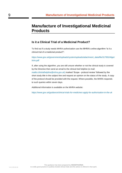# <span id="page-11-0"></span>**Manufacture of Investigational Medicinal Products**

## **Is it a Clinical Trial of a Medicinal Product?**

To find out if a study needs MHRA authorization use the MHRA's online algorithm 'Is it a clinical trial of a medicinal product?':

*[https://www.gov.uk/government/uploads/system/uploads/attachment\\_data/file/317952/Algot](https://www.gov.uk/government/uploads/system/uploads/attachment_data/file/317952/Algothrim.pdf) [hrim.pdf](https://www.gov.uk/government/uploads/system/uploads/attachment_data/file/317952/Algothrim.pdf)*

If, after using the algorithm, you are still unsure whether or not the clinical study is covered by the Directive then send an email to the clinical trial helpline (e-mail: *<mailto:clintrialhelpline@mhra.gov.uk>*) marked 'Scope - protocol review' followed by the short study title in the subject line and request an opinion on the status of the study. A copy of the protocol should be provided with the request. Where possible, the MHRA responds to such queries within seven days.

Additional information is available on the MHRA website:

*<https://www.gov.uk/guidance/clinical-trials-for-medicines-apply-for-authorisation-in-the-uk>*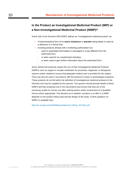## **Is the Product an Investigational Medicinal Product (IMP) or a Non-Investigational Medicinal Product (NIMP)?**

Article 2(d) of the Directive 2001/20/EC defines an "investigational medicinal product" as:

- "A pharmaceutical form of an **active substance** or **placebo** being tested or used as a reference in a clinical trial,
- including products already with a marketing authorisation but
	- used or assembled (formulated or packaged) in a way different from the authorised form,
	- or when used for an unauthorised indication,
	- or when used to gain further information about the authorised form."

Some clinical trial protocols require the use of Non Investigational Medicinal Products (NIMPs) such as support or escape medication for preventive, diagnostic or therapeutic reasons and/or needed to ensure that adequate medical care is provided for the subject. They may also be used in accordance with the protocol to induce a physiological response. These products do not fall within the definition of investigational medicinal products in the Directive and may be supplied by the sponsor. The sponsor should provide details of these NIMPs and their proposed use in the trial protocol and ensure that they are of the necessary quality for human use after seeking advice and/or involvement of a Qualified Person where appropriate. The decision as to whether a product is an IMP or a NIMP depends on the product being used and the design of the study. Further guidance on NIMPs is available here:

*[http://ec.europa.eu/health/files/eudralex/vol-10/imp\\_03-2011.pdf](http://ec.europa.eu/health/files/eudralex/vol-10/imp_03-2011.pdf)*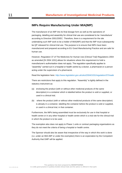## **IMPs Require Manufacturing Under MIA(IMP)**

The manufacture of an IMP into its final dosage form as well as the operations of packaging, labelling and assembly for clinical trial use are considered to be 'manufacture' according to Directive 2001/20/EC. Therefore, there is a requirement for the site undertaking such IMP work to be a holder of MIA(IMP) and that the IMP must subsequently be QP released for clinical trial use. The purpose is to ensure that IMPs have been manufactured and prepared according to EU Good Manufacturing Practice and are safe for human use.

However, Regulation 37 of The Medicines for Human Use (Clinical Trial) Regulations 2004 as amended [SI 2004 1031] allows for situations where this requirement to hold a manufacturer's authorisation does not apply. The regulation specifically applies to "assembly" carried out in a hospital or health centre by a doctor, a pharmacist or a person acting under the supervision of a pharmacist.

Read the legislation here: *<http://www.legislation.gov.uk/uksi/2004/1031/regulation/37/made>*

There are restrictions that apply to this regulation. "Assembly" is tightly defined in the statutory instrument as:

- (a) enclosing the product (with or without other medicinal products of the same description) in a container which is labelled before the product is sold or supplied, or used in a clinical trial;
- (b) where the product (with or without other medicinal products of the same description) is already in a container, labelling the container before the product is sold or supplied, or used in a clinical trial, in that container.

Furthermore, the IMPs being assembled must be exclusively for use in that hospital or health centre or in any other hospital or health centre which is a trial site for the clinical trial in which the product is to be used.

The exemption also does not apply to Phase 1 units or contract packaging organisations as they do not meet the criteria of being a hospital or health centre.

The Sponsor should also be aware that irrespective of the way in which this work is done (i.e. under an MIA-IMP or under the exemption) there is an expectation by the Competent Authority that GMP will be applied.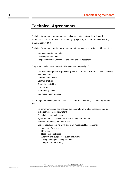## <span id="page-14-0"></span>**Technical Agreements**

Technical Agreements are non-commercial contracts that set out the roles and responsibilities between the Contract Giver (e.g. Sponsor) and Contract Acceptor (e.g. manufacturer of IMP).

Technical Agreements are the basic requirement for ensuring compliance with regard to:

- Manufacturing Authorisation
- Marketing Authorisation
- Responsibilities of Contract Givers and Contract Acceptors

They are essential in the setup of IMPs given the complexity of:

- Manufacturing operations particularly when 2 or more sites often involved including overseas sites
- Contract manufacture
- Contract analysis
- Regulatory activities
- Complaints
- Pharmacovigilance
- Good distribution practice

According to the MHRA, commonly found deficiencies concerning Technical Agreements are:

- No agreement is in place between the contract giver and contract acceptor (i.e. technical Agreement not written)
- Essentially commercial in nature
- Agreement not in place before manufacturing commences
- Refer to Appendices that do not exist
- Lack of detail concerning GMP and GDP responsibilities including:
	- Sourcing of materials
	- QP duties
	- Recall responsibilities
	- Approval and supply of relevant documents
	- Taking of samples/testing/retention
	- Temperature monitoring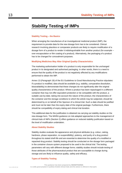# <span id="page-15-0"></span>**Stability Testing of IMPs**

#### **Stability Testing – the Basics**

When arranging the manufacture of an investigational medicinal product (IMP), the requirement to provide data for the new dosage form has to be considered. Clinical research involving placebos or comparator products are likely to require modification of a dosage form of a product to render it indistinguishable from another product (for example – over encapsulation or film coating of a product). Alternatively, the packaging of a product has to be changed for concealment purposes.

#### **Modifying Medicines May Alter Original Quality Characteristics**

The marketing authorisation holder of a product is only responsible for the unchanged product in its designated and authorised packaging. In other words, there is a need to ensure that the quality of the product is not negatively affected by any modifications performed to obtain the IMP.

Annex 13 (Paragraph 19) of the EU Guidelines to Good Manufacturing Practice stipulates: If a product is modified, data should be available (e.g. stability, comparative dissolution, bioavailability) to demonstrate that these changes do not significantly alter the original quality characteristics of the product. Where a product has been repackaged in a different container that may not offer equivalent protection or be compatible with the product, a suitable use-by-date, taking into account the nature of the product, the characteristics of the container and the storage conditions to which the article may be subjected, should be determined by or on behalf of the Sponsor of a clinical trial. Such a date should be justified and must not be later than the expiry date of the original package. Furthermore, there should be compatibility of expiry dating and clinical trial duration.

This additional data for the justification is obtained via carrying out stability studies on the new dosage form. The MHRA guidance on risk-adapted approaches to the management of clinical trials of IMPs (Section 2) offers guidance on reduced stability justification based on the level of modification undertaken.

#### **About Stability Studies**

Stability studies evaluate the appearance and physical attributes (e.g. colour, caking, hardness, phase separation, re-suspendibility), potency, and purity of a drug product throughout its stated shelf-life and are essential to determine the quality of a modified or repacked drug product. Stability testing should be conducted on the dosage form packaged in the container closure system proposed to be used in the clinical trial. The testing parameters will vary with different dosage forms; stability studies should include testing of those attributes of the pharmaceutical product that are susceptible to change during storage and are likely to influence quality, safety and efficacy.

#### **Types of Stability Testing**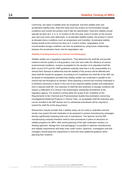Commonly, two types of stability tests are employed: real-time stability tests and accelerated stability tests. Real-time tests store the product at recommended storage conditions and monitor the product until it fails the specification. Real-time stability should typically be done at 0, 3, 6, 9, 12 months on the first year, every 6 months on the second year and once every year afterwards. In accelerated stability studies, the product is stored at elevated stress conditions (such as temperature and humidity). Accelerated stability testing should at the minimum be done at 0, 3 and 6 months. Degradation at the recommended storage conditions can then be predicted by using known relationships between the acceleration factor and the degradation rate.

#### **Stability Test Requirements for Clinical Trial Medication**

Stability studies are a regulatory requirement. They determine the shelf-life and provide evidence that the quality of a drug product, over time and under the influence of various environmental conditions, remains acceptable for the duration of its stipulated shelf-life. Both current GCP and EU GMP guidelines explicitly state that it is the responsibility of a clinical trial's Sponsor to determine how the stability of the product will be affected and what shelf-life should be assigned. According to EU Guidelines the shelf-life of the IMP can be based on extrapolation provided that stability studies are conducted in parallel to the clinical trial and throughout its duration. When planning a clinical trial involving medication it is therefore necessary to factor in the cost of any required stability studies and implications from a reduced shelf-life. Any reduction of shelf-life and restriction of storage conditions will require a notification of a Clinical Trial Authorisation substantial amendment to the regulatory agency. For products coming within the scope of the 'Guideline on the Requirements to the Chemical and Pharmaceutical Quality Documentation concerning Investigational Medicinal Products in Clinical Trials', an acceptable shelf life extension plan can be included in the IMP dossier and no substantial amendment will be required to extend the shelf life of the drug product.

Researchers should consider that a stability study can be costly to undertake and test results may require the trial medication to be prepared in several manufacturing campaigns thereby significantly impacting total cost of manufacture. The Sponsor and the IMP manufacturing company therefore need to have procedures in place on decisions on stability programs for IMPs. With careful planning of the right medication solution (i.e. blinding approach, dosage form and packaging) it is possible to optimise manufacturing and stability requirements and keep costs under control. Sponsors, investigators and trial managers should keep this requirement in mind and seek additional guidance when planning their research.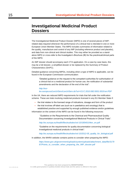# <span id="page-17-0"></span>**Investigational Medicinal Product Dossiers**

The Investigational Medicinal Product Dossier (IMPD) is one of several pieces of IMPrelated data required whenever the performance of a clinical trial is intended in one or more European Union Member States. The IMPD includes summaries of information related to the quality, manufacture and control of any IMP (including reference product and placebo), and data from non-clinical and clinical studies. This may either be provided as a standalone IMPD or cross-refer to the Investigator's Brochure (IB) for the preclinical/clinical parts of the IMPD.

An IMP dossier should accompany each CTA application. On a case by case basis, this may be a full dossier, a simplified dossier or be replaced by the Summary of Product Characteristics (SmPC).

Detailed guidance concerning IMPDs, including when a type of IMPD is applicable, can be found in the European Commission communication:

"Detailed guidance on the request to the competent authorities for authorisation of a clinical trial on a medicinal product for human use, the notification of substantial amendments and the declaration of the end of the trial":

## *[http://eur](http://eur-lex.europa.eu/LexUriServ/LexUriServ.do?uri=OJ:C:2010:082:0001:0019:en:PDF)[lex.europa.eu/LexUriServ/LexUriServ.do?uri=OJ:C:2010:082:0001:0019:en:PDF](http://eur-lex.europa.eu/LexUriServ/LexUriServ.do?uri=OJ:C:2010:082:0001:0019:en:PDF)*

In the UK, there are reduced IMPD requirements for trials that fall under the notification scheme. These are trials involving medicinal products licensed in any EU Member State if:

- the trial relates to the licensed range of indications, dosage and form of the product
- the trial involves off-label use (such as in paediatrics and oncology) that is established practice and supported by enough published evidence and/or guidelines

Information on the content of the IMPD can be found in the following resources:

"Guideline on the Requirements to the Chemical and Pharmaceutical Quality Documentation concerning Investigational Medicinal Products in Clinical Trials":

*[http://ec.europa.eu/health/files/eudralex/vol-10/18540104en\\_en.pdf](http://ec.europa.eu/health/files/eudralex/vol-10/18540104en_en.pdf)*

"Guideline on the requirements for quality documentation concerning biological investigational medicinal products in clinical trials":

*[http://ec.europa.eu/health/files/eudralex/vol-10/2012-05\\_quality\\_for\\_biological.pdf](http://ec.europa.eu/health/files/eudralex/vol-10/2012-05_quality_for_biological.pdf)*

In addition, the MHRA website contains points to consider when preparing the IMPD:

*[https://www.gov.uk/government/uploads/system/uploads/attachment\\_data/file/3179](https://www.gov.uk/government/uploads/system/uploads/attachment_data/file/317987/Points_to_consider_when_preparing_the_IMP_dossier.pdf) [87/Points\\_to\\_consider\\_when\\_preparing\\_the\\_IMP\\_dossier.pdf](https://www.gov.uk/government/uploads/system/uploads/attachment_data/file/317987/Points_to_consider_when_preparing_the_IMP_dossier.pdf)*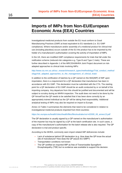# <span id="page-18-0"></span>**Imports of IMPs from Non-EU/European Economic Area (EEA) Countries**

Investigational medicinal products from outside the EU must conform to Good Manufacturing Practices (GMP) at least equivalent to EU standards (i.e. EU GMP compliance). Where manufacture and/or assembly of a medicinal product for clinical trial use (including placebos) occurs outside of the EU the product has to be imported by the holder of a manufacturer's authorisation covering the activity of importation of IMPs.

In the UK, there are modified GMP compliance requirements for trials that fall under the notification scheme (reduced-risk categories e.g. Type B and Type C trials). These are further described in Appendix 1 of the MRC/DH/MHRA Joint Project document on riskadapted approaches to clinical trials involving IMPs:

## *[http://www.ctu.mrc.ac.uk/our\\_research/research\\_types/methodology/Trial\\_conduct\\_method](http://www.ctu.mrc.ac.uk/our_research/research_types/methodology/Trial_conduct_methodology/risk_adapted_approaches_to_the_management_of_clinical_trials/) [ology/risk\\_adapted\\_approaches\\_to\\_the\\_management\\_of\\_clinical\\_trials/](http://www.ctu.mrc.ac.uk/our_research/research_types/methodology/Trial_conduct_methodology/risk_adapted_approaches_to_the_management_of_clinical_trials/)*

In addition to the certification of batches by a QP named on the MIA(IMP) of IMP upon importation, there is a requirement for a QP declaration that manufacture has been in accordance with EU GMP. This declaration must be submitted with the CTA. The starting point for a QP declaration of EU GMP should be an audit conducted by or on behalf of the importing company. Any departure from this should be justified and documented and will be subject to scrutiny during an MHRA inspection. The audit does not need to be done by the QP himself but the QP needs to be satisfied that it has been done correctly by an appropriately trained individual as the QP will be taking final responsibility. Additional analytical testing of IMPs may also be required on import to Europe.

Annex 13 Table 2 summarises the elements that need to be considered in relation to investigational medicinal products imported from third countries:

#### *[https://ec.europa.eu/health//sites/health/files/files/eudralex/vol-4/2009\\_06\\_annex13.pdf](https://ec.europa.eu/health/sites/health/files/files/eudralex/vol-4/2009_06_annex13.pdf)*

The QP declaration is usually signed by a QP named on the manufacturer's authorisation of the importer but may be signed by a QP at the batch certification site. In such cases, a copy of the manufacturer's authorisation for the batch release site is also required. The QP declaration is trial and product specific.

According to the MHRA, commonly seen import-related IMP deficiencies include:

- Lack of substance behind QP declaration (e.g. How does the QP know the actual site of manufacture? How does the QP assure EU GMP?)
- Transportation conditions not known
- The QP certified an imported IMP as free of Transmissible Spongiform Encephalopathy (TSE) but no evidence was available to support this decision.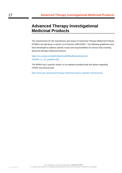# <span id="page-19-0"></span>**Advanced Therapy Investigational Medicinal Products**

The requirements for the manufacture and import of Advanced Therapy Medicinal Products (ATMPs) are laid down in Article 13 of Directive 2001/20/EC. The following guidelines have been developed to address specific issues and responsibilities for clinical trials involving advanced therapy medicinal products:

*[https://ec.europa.eu/health//sites/health/files/files/eudralex/vol-](https://ec.europa.eu/health/sites/health/files/files/eudralex/vol-10/2009_11_03_guideline.pdf)[10/2009\\_11\\_03\\_guideline.pdf](https://ec.europa.eu/health/sites/health/files/files/eudralex/vol-10/2009_11_03_guideline.pdf)*

The MHRA has a specific section on its website providing help and advice regarding ATMPs and clinical trials:

*<https://www.gov.uk/advanced-therapy-medicinal-products-regulation-and-licensing>*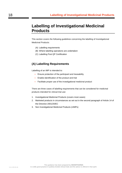# <span id="page-20-0"></span>**Labelling of Investigational Medicinal Products**

This section covers the following guidelines concerning the labelling of Investigational Medicinal Products:

- (A) Labelling requirements
- (B) Where labelling operations are undertaken
- (C) Labelling Post QP Certification

## **(A) Labelling Requirements**

Labelling of an IMP is intended to:

- Ensure protection of the participant and traceability
- Enable identification of the product and trial
- Facilitate proper use of the investigational medicinal product

There are three cases of labelling requirements that can be considered for medicinal products intended for clinical trial use:

- 1. Investigational Medicinal Products (covers most cases)
- 2. Marketed products in circumstances as set out in the second paragraph of Article 14 of the Directive 2001/20/EC
- 3. Non Investigational Medicinal Products (nIMPs)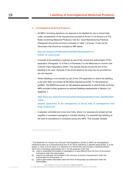#### **1. Investigational Medicinal Products**

 $\bullet$  All IMPs<sup>2</sup> (including placebos) are required to be labelled for use in clinical trials under consideration of the requirements provided in Annex 13 of Volume 4 of The Rules Governing Medicinal Products in the EU: Good Manufacturing Practices (Paragraph 26 and the summary contained in Table 1 of Annex 13 set out the information that should be included on IMP labels:

## *[https://ec.europa.eu/health//sites/health/files/files/eudralex/vol-](https://ec.europa.eu/health/sites/health/files/files/eudralex/vol-4/2009_06_annex13.pdf)[4/2009\\_06\\_annex13.pdf](https://ec.europa.eu/health/sites/health/files/files/eudralex/vol-4/2009_06_annex13.pdf)*

- A sample of the labelling is required as part of the clinical trial authorisation (CTA) application (Paragraph 12 of Part 2 of Schedule 3 to the Medicines for Human Use (Clinical Trials) Regulations 2004). This sample should include the text of the labelling to be used. Samples of the actual labels to be used may be provided but are not required.
- Where labelling is not included as part of the CTA application or where the labelling to be used does not contain all the items required by Annex 13, this should be justified. The MHRA document on risk-adapted approaches to clinical trials involving IMPs provides further guidance on reduced labelling requirements in Section 3 of Appendix 1:

## *[https://www.gov.uk/government/uploads/system/uploads/attachment\\_data/file/34367](https://www.gov.uk/government/uploads/system/uploads/attachment_data/file/343677/Risk-adapted_approaches_to_the_management_of_clinical_trials_of_investigational_medicinal_products.pdf) [7/Risk-](https://www.gov.uk/government/uploads/system/uploads/attachment_data/file/343677/Risk-adapted_approaches_to_the_management_of_clinical_trials_of_investigational_medicinal_products.pdf)*

## *[adapted\\_approaches\\_to\\_the\\_management\\_of\\_clinical\\_trials\\_of\\_investigational\\_med](https://www.gov.uk/government/uploads/system/uploads/attachment_data/file/343677/Risk-adapted_approaches_to_the_management_of_clinical_trials_of_investigational_medicinal_products.pdf) [icinal\\_products.pdf](https://www.gov.uk/government/uploads/system/uploads/attachment_data/file/343677/Risk-adapted_approaches_to_the_management_of_clinical_trials_of_investigational_medicinal_products.pdf)*

• In placebo controlled and cross-over trials, where it is necessary to present all trial supplies in consistent packaging to maintain blinding, it is essential that labelling at the time of manufacture is consistent across the IMPs. This includes variable

-

<sup>&</sup>lt;sup>2</sup> The Medicines for Human Use (Clinical Trial) Regulations (Article 2) define an investigational medicinal product as a pharmaceutical form of an active substance or placebo being tested, or to be tested, or used, or to be used, as a reference in a clinical trial, and includes a medicinal product which has a marketing authorisation but is, for the purposes of the trial

<sup>(</sup>a) used or assembled (formulated or packaged) in a way different from the form of the product authorised under the authorization,

<sup>(</sup>b) used for an indication not included in the summary of product characteristics under the authorisation for that product, or

<sup>(</sup>c) used to gain further information about the form of that product as authorised under the authorisation;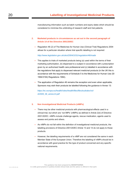manufacturing information such as batch numbers and expiry dates which should be considered to minimise the unblinding of research staff and trial patients.

## **2. Marketed products in circumstances as set out in the second paragraph of Article 14 of the Directive 2001/20/EC**

• Regulation 46 (2) of The Medicines for Human Use (Clinical Trial) Regulations 2004 allows for a particular situation where trial specific labelling is not required:

#### *<http://www.legislation.gov.uk/uksi/2004/1031/regulation/46/made>*

- This applies to trials of marketed products being (a) used within the terms of their marketing authorisation, (b) dispensed to a subject in accordance with a prescription given by an authorised health care professional and (c) labelled in accordance with the regulations that apply to dispensed relevant medicinal products (in the UK this is accordance with the requirements of Schedule 5 to the Medicines for Human Use (SI 1994/3194) Regulations 1994).
- The application of Regulation 46 remains the exception and even when applicable, Sponsors may wish their products be labelled following the guidance in Annex 13:

*[https://ec.europa.eu/health//sites/health/files/files/eudralex/vol-](https://ec.europa.eu/health/sites/health/files/files/eudralex/vol-4/2009_06_annex13.pdf)[4/2009\\_06\\_annex13.pdf](https://ec.europa.eu/health/sites/health/files/files/eudralex/vol-4/2009_06_annex13.pdf)*

#### **3. Non Investigational Medicinal Products (nIMPs)**

- There may be other medicinal products with pharmacological effects used in a clinical trial, but which are 'not IMPs' (nIMPs) as defined in Article 2(d) of Directive 2001/20/EC. nIMPs include challenge agents, rescue medication, agents used to assess end points and others.
- As nIMPs do not fall within the definition of investigational medicinal products, the labelling provisions of Directive 2001/20/EC Article 13 and 14 do not apply to these products.
- However, the labelling requirements of a nIMP are not considered the same in each Member State of the European Union. Therefore the labelling of nIMPs should be in accordance with good practice for the type of product concerned and any specific national requirements.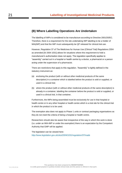## **(B) Where Labelling Operations Are Undertaken**

The labelling of IMPs is considered to be manufacture according to Directive 2001/20/EC. Therefore, there is a requirement for the site undertaking IMP labelling to be a holder of MIA(IMP) and that the IMP must subsequently be QP released for clinical trial use.

However, Regulation 37 of The Medicines for Human Use (Clinical Trial) Regulations 2004 as amended [SI 2004 1031] allows for situations where this requirement to hold a manufacturer's authorisation does not apply. The regulation specifically applies to "assembly" carried out in a hospital or health centre by a doctor, a pharmacist or a person acting under the supervision of a pharmacist.

There are restrictions that apply to this regulation. "Assembly" is tightly defined in the statutory instrument as:

- (a) enclosing the product (with or without other medicinal products of the same description) in a container which is labelled before the product is sold or supplied, or used in a clinical trial;
- (b) where the product (with or without other medicinal products of the same description) is already in a container, labelling the container before the product is sold or supplied, or used in a clinical trial, in that container.

Furthermore, the IMPs being assembled must be exclusively for use in that hospital or health centre or in any other hospital or health centre which is a trial site for the clinical trial in which the product is to be used.

The exemption also does not apply to Phase 1 units or contract packaging organisations as they do not meet the criteria of being a hospital or health centre.

Researchers should also be aware that irrespective of the way in which this work is done (i.e. under an MIA-IMP or under the exemption) there is an expectation by the Competent Authority that GMP will be applied.

The legislation can be viewed here: *<http://www.legislation.gov.uk/uksi/2004/1031/regulation/37/made>*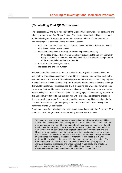## **(C) Labelling Post QP Certification**

The Paragraphs 33 and 42 of Annex 13 of the Orange Guide allow for some packaging and labelling to take place after QP certification. This 'post certification labelling' can be used for the following and is usually performed prior to despatch in the distribution area or immediately prior to administration to a subject or patient:

- application of an identifier to ensure that a reconstituted IMP in its final container is administered to the correct subject
- application of expiry date labelling (or revised expiry date labelling).
	- In the case of revised expiry date labelling, this is subject to stability information being available to support the extended shelf-life and the MHRA being informed of the substantial amendment to the CTA
- application of an investigator name
- application of a protocol number

It should, in the first instance, be done at a site with an MIA(IMP) unless the risk to the quality of the product is unacceptably elevated by any required transportation back to this site. In other words, if IMP stock has already gone out to trial sites, it is not strictly required to bring it back to the site with the MIA(IMP) in order to undertake the relabeling. Although this would be preferable, it is recognised that this shipping backwards and forwards could cause more GMP problems than it solves and it is permissible in these circumstances for the relabeling to be done at the clinical site. The certifying QP should certainly be aware of this and be involved in setting up the required GMP systems. The relabeling should be done by knowledgeable staff, documented, and the records stored in the original trial file. The level of assurance of product quality should not be less than if this labelling were performed prior to QP certification.

A common cause for relabeling is the extension of expiry dates. Note that Paragraph 33 of Annex 13 of the Orange Guide deals specifically with this issue. It states:

'If it becomes necessary to change the use-by date, an additional label should be affixed to the investigational medicinal product. This additional label should state the new use-by date and repeat the batch number. It may be superimposed on the old use-by date, but for quality control reasons, not on the original batch number. This operation should be performed at an appropriately authorised manufacturing site. However, when justified, it may be performed at the investigational site by or under the supervision of the clinical trial site pharmacist, or other health care professional in accordance with national regulations. Where this is not possible, it may be performed by the clinical trial monitor(s) who should be appropriately trained. The operation should be performed in accordance with GMP principles, specific and standard operating procedures and under contract, if applicable, and should be checked by a second person. This additional labelling should be properly documented in both the trial documentation and in the batch records.'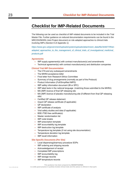## <span id="page-25-0"></span>**Checklist for IMP-Related Documents**

The following can be used as checklist of IMP-related documents to be included in the Trial Master File. Further guidance on reduced documentation requirements can be found in the MRC/DH/MHRA Joint Project document on risk-adapted approaches to clinical trials involving IMPs (Section 6 of Appendix 1):

*[https://www.gov.uk/government/uploads/system/uploads/attachment\\_data/file/343677/Risk](https://www.gov.uk/government/uploads/system/uploads/attachment_data/file/343677/Risk-adapted_approaches_to_the_management_of_clinical_trials_of_investigational_medicinal_products.pdf)[adapted\\_approaches\\_to\\_the\\_management\\_of\\_clinical\\_trials\\_of\\_investigational\\_medicinal\\_](https://www.gov.uk/government/uploads/system/uploads/attachment_data/file/343677/Risk-adapted_approaches_to_the_management_of_clinical_trials_of_investigational_medicinal_products.pdf) [products.pdf](https://www.gov.uk/government/uploads/system/uploads/attachment_data/file/343677/Risk-adapted_approaches_to_the_management_of_clinical_trials_of_investigational_medicinal_products.pdf)*

#### **Agreements**

- IMP supply agreement(s) with contract manufacturer(s) and amendments
- Technical agreement(s) with contract manufacturer(s) and distribution companies

#### **Clinical Trial IMP Documentation**

- The CTA and any subsequent amendments
- The MHRA acceptance letter
- Final letter from Research Ethics Committee
- Summary of drug arrangements (normally as part of the Protocol)
- Product Information (Full/Simplified IMPD)
- IMP safety information document (IB or SPC)
- IMP label texts in the national language (matching those submitted to the MHRA)
- MA (IMP) licence of final QP releasing site
- MA (IMP) licence of placebo manufacturing site (if different from final QP releasing site)
- Certified QP release statement
- Import QP release certificate (if applicable)
- QP declaration
- IMP certificate of analysis
- Viral safety studies and data (if applicable)
- BSE-/TSE-free certificate(s)
- Master randomisation list
- IMP code breaks
- IMP prescription template
- IMP accountability log template
- IMP destruction log template
- Temperature log template (if not using site documentation)
- Temperature deviation log template
- IMP recall information

#### **Site Specific Documents (Per Site)**

- Local dispensing/pharmacy procedure SOPs
- IMP ordering and shipping records
- Acknowledgement of receipt
- Completed IMP prescriptions
- IMP accountability log
- IMP storage records
- IMP temperature records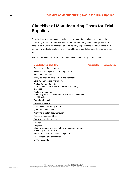# <span id="page-26-0"></span>**Checklist of Manufacturing Costs for Trial Supplies**

This checklist of common costs involved in arranging trial supplies can be used when considering and/or comparing quotes for IMP manufacturing work. The objective is to consider as many of the possible variables as early as possible to (a) establish the most optimal trial medication solution and (b) avoid funding shortfalls during the conduct of the trial.

*Note that this list is not exhaustive and not all cost factors may be applicable.*

| <b>Manufacturing Cost Item</b>                                                     | <b>Applicable?</b> | <b>Considered?</b> |
|------------------------------------------------------------------------------------|--------------------|--------------------|
| Procurement of active products                                                     |                    |                    |
| Receipt and analysis of incoming products                                          |                    |                    |
| IMP development work                                                               |                    |                    |
| Analytical method development and verification                                     |                    |                    |
| Stability study to justify shelf-life                                              |                    |                    |
| Tooling for manufacturing                                                          |                    |                    |
| Manufacture of bulk medicinal products including<br>placebos                       |                    |                    |
| Packaging materials                                                                |                    |                    |
| Packaging work (including labelling and pack assembly)<br>for all batches          |                    |                    |
| Code break envelopes                                                               |                    |                    |
| Release analytics                                                                  |                    |                    |
| QP audit work including imports                                                    |                    |                    |
| QP release certification                                                           |                    |                    |
| Archiving of batch documentation                                                   |                    |                    |
| Project management fees                                                            |                    |                    |
| Regulatory assistance fees                                                         |                    |                    |
| Storage                                                                            |                    |                    |
| Despatch                                                                           |                    |                    |
| Shipment/courier charges (with or without temperature<br>monitoring and insurance) |                    |                    |
| Return of unused medication to Sponsor                                             |                    |                    |
| Reconciliation and destruction                                                     |                    |                    |
| VAT applicability                                                                  |                    |                    |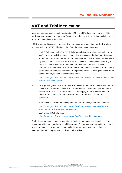## <span id="page-27-0"></span>**VAT and Trial Medication**

Most contract manufacturers of Investigational Medicinal Products and suppliers of trial medication are required to charge VAT on their supplies even if the medication is intended for non-commercial/academic trials.

HM Revenue and Customs have issued several guidance notes about medical services and exemption from VAT. The key points from these guidance notes are:

1. HMRC Guidance Notice 701/57: This includes information about exemption from VAT in relation to clinical research but only explains when the health professionals should and should not charge VAT for their services. Clinical research undertaken by health professionals is exempt from VAT only if it involves patient care, e.g. to monitor a patient involved in the trial for adverse reactions which may be detrimental to their health. If involvement with the patient is restricted to monitoring side-effects for analytical purposes, or to provide analytical testing services with no patient contact, this service is standard-rated.

*[https://www.gov.uk/government/publications/vat-notice-70157-health-professionals](https://www.gov.uk/government/publications/vat-notice-70157-health-professionals-and-pharmaceutical-products)[and-pharmaceutical-products](https://www.gov.uk/government/publications/vat-notice-70157-health-professionals-and-pharmaceutical-products)*

2. As a general guideline, the VAT status of a clinical trial medication is dependent on how the trial is funded. Only if a trial is funded by a charity and fulfils the criteria of Notice 701/6 or Notice 701/1 (Part 6) can the supply of trial medication be zerorated. In these cases the manufacturer/supplier requires a valid exemption certificate.

VAT Notice 701/6: charity funding equipment for medical, veterinary etc uses *[https://www.gov.uk/government/publications/vat-notice-7016-charity-funded](https://www.gov.uk/government/publications/vat-notice-7016-charity-funded-equipment-for-medical-veterinary-etc-uses)[equipment-for-medical-veterinary-etc-uses](https://www.gov.uk/government/publications/vat-notice-7016-charity-funded-equipment-for-medical-veterinary-etc-uses)*

VAT Notice 701/1: charities *<https://www.gov.uk/government/publications/vat-notice-7011-charities>*

Each clinical trial supply must be looked at on an individual basis and the advice of the procurement/finance department should be sought. The manufacturer/supplier must agree to zero-rating a clinical trial supply and until this agreement is obtained, it should be assumed that VAT is applicable on clinical trial supplies.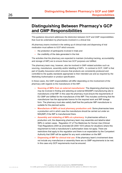# <span id="page-28-0"></span>**Distinguishing Between Pharmacy's GCP and GMP Responsibilities**

This guidance document addresses the distinction between GCP and GMP responsibilities that must be undertaken by pharmacies involved in a clinical trial.

All pharmacy teams involved in the setting up of clinical trials and dispensing of trial medication must adhere to GCP which ensures

- the protection of participants involved in trials and
- the credibility of the data generated in the trial.

The activities that the pharmacy are expected to maintain (including tracking, accountability and storage of IMP) are to ensure these two GCP purposes are fulfilled.

The pharmacy team may, however, also be involved in GMP-related activities such as sourcing, manufacture, assembly and/or labelling of IMPs. In contrast to GCP, GMP is that part of Quality Assurance which ensures that products are consistently produced and controlled to the quality standards appropriate to their intended use and as required by the Marketing Authorisation or product specification.

In these cases, the GMP responsibilities will differ depending on the involvement of the pharmacy with regards to the manufacture of the IMP:

- **Sourcing of IMPs from an external manufacturer:** The dispensing pharmacy team may be involved in finding and selecting an external MIA(IMP) manufacturing site to manufacture a trial IMP. In this case the pharmacy must ensure the requirements of EU GMP are fulfilled for the manufacture of the IMP. This includes confirming that the manufacturer has the appropriate licence for the required work and IMP dosage form. The pharmacy must also satisfy itself that the particular IMP manufacturer is suitable for the planned works.
- **Manufacture of IMPs at local pharmacy production unit:** Some pharmacies have a production unit in which case the manufacture should be carried out under an MIA(IMP) if the IMP is manufactured there.
- **Assembly and relabeling of IMPs at a pharmacy:** In pharmacies without a production unit, the dispensing pharmacy team may assemble and label/re-label IMPs in certain cases. Regulation 37 of The Medicines for Human Use (Clinical Trial) Regulations 2004 as amended [SI 2004 1031] allows for situations where this requirement to hold a manufacturer's authorisation does not apply. There are restrictions that apply to this regulation and there is an expectation by the Competent Authority that GMP will be applied for any work undertaken on the IMP.
- **Dispensing of IMP for clinical trial use:** If the pharmacy team's involvement does not include any manufacture or assembly there are no GMP requirements to be met. In this case only GCP requirements must be ensured.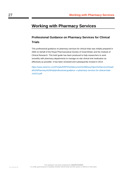# <span id="page-29-0"></span>**Working with Pharmacy Services**

## **Professional Guidance on Pharmacy Services for Clinical Trials**

This professional guidance on pharmacy services for clinical trials was initially prepared in 2005 on behalf of the Royal Pharmaceutical Society of Great Britain and the Institute of Clinical Research. This brief guide has been produced to help researchers to work smoothly with pharmacy departments to manage on-site clinical trial medication as effectively as possible. It has been reviewed and subsequently revised in 2013:

*[https://www.rpharms.com/Portals/0/RPS%20document%20library/Open%20access/Hospit](https://www.rpharms.com/Portals/0/RPS%20document%20library/Open%20access/Hospital%20Pharmacy%20Hub/professional-guidance--n-pharmacy-services-for-clinical-trials-141013.pdf) [al%20Pharmacy%20Hub/professional-guidance--n-pharmacy-services-for-clinical-trials-](https://www.rpharms.com/Portals/0/RPS%20document%20library/Open%20access/Hospital%20Pharmacy%20Hub/professional-guidance--n-pharmacy-services-for-clinical-trials-141013.pdf)[141013.pdf](https://www.rpharms.com/Portals/0/RPS%20document%20library/Open%20access/Hospital%20Pharmacy%20Hub/professional-guidance--n-pharmacy-services-for-clinical-trials-141013.pdf)*